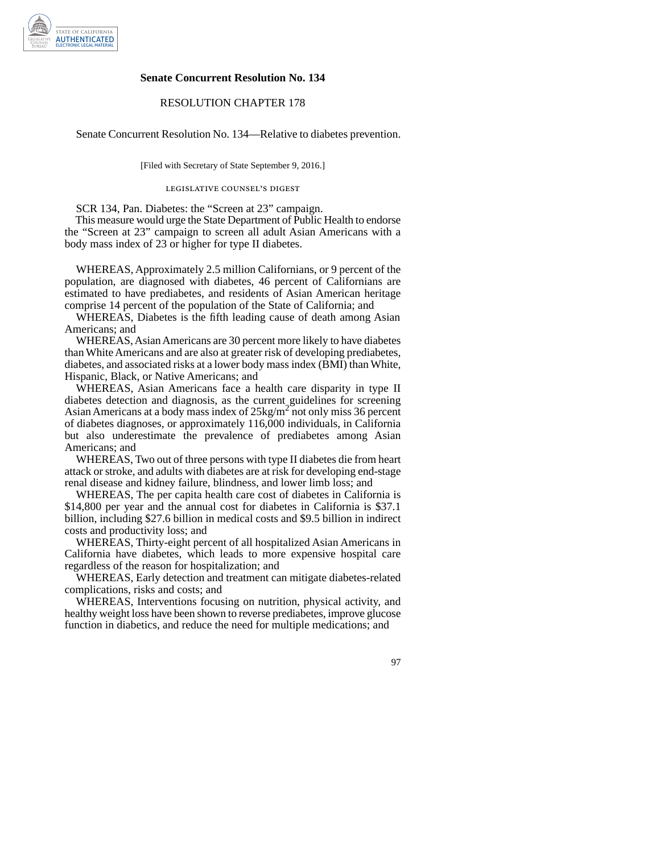

## **Senate Concurrent Resolution No. 134**

## RESOLUTION CHAPTER 178

Senate Concurrent Resolution No. 134—Relative to diabetes prevention.

[Filed with Secretary of State September 9, 2016.]

legislative counsel' s digest

SCR 134, Pan. Diabetes: the "Screen at 23" campaign.

This measure would urge the State Department of Public Health to endorse the "Screen at 23" campaign to screen all adult Asian Americans with a body mass index of 23 or higher for type II diabetes.

WHEREAS, Approximately 2.5 million Californians, or 9 percent of the population, are diagnosed with diabetes, 46 percent of Californians are estimated to have prediabetes, and residents of Asian American heritage comprise 14 percent of the population of the State of California; and

WHEREAS, Diabetes is the fifth leading cause of death among Asian Americans; and

WHEREAS, Asian Americans are 30 percent more likely to have diabetes than White Americans and are also at greater risk of developing prediabetes, diabetes, and associated risks at a lower body mass index (BMI) than White, Hispanic, Black, or Native Americans; and

WHEREAS, Asian Americans face a health care disparity in type II diabetes detection and diagnosis, as the current guidelines for screening Asian Americans at a body mass index of  $25 \text{kg/m}^2$  not only miss 36 percent of diabetes diagnoses, or approximately 116,000 individuals, in California but also underestimate the prevalence of prediabetes among Asian Americans; and

WHEREAS, Two out of three persons with type II diabetes die from heart attack or stroke, and adults with diabetes are at risk for developing end-stage renal disease and kidney failure, blindness, and lower limb loss; and

WHEREAS, The per capita health care cost of diabetes in California is \$14,800 per year and the annual cost for diabetes in California is \$37.1 billion, including \$27.6 billion in medical costs and \$9.5 billion in indirect costs and productivity loss; and

WHEREAS, Thirty-eight percent of all hospitalized Asian Americans in California have diabetes, which leads to more expensive hospital care regardless of the reason for hospitalization; and

WHEREAS, Early detection and treatment can mitigate diabetes-related complications, risks and costs; and

WHEREAS, Interventions focusing on nutrition, physical activity, and healthy weight loss have been shown to reverse prediabetes, improve glucose function in diabetics, and reduce the need for multiple medications; and

97